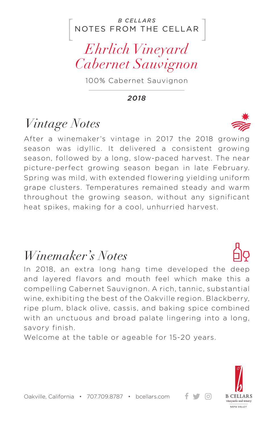#### NOTES FROM THE CELLAR *B CELLARS*

## *Ehrlich Vineyard Cabernet Sauvignon*

100% Cabernet Sauvignon

*2018*

## *Vintage Notes*

After a winemaker's vintage in 2017 the 2018 growing season was idyllic. It delivered a consistent growing season, followed by a long, slow-paced harvest. The near picture-perfect growing season began in late February. Spring was mild, with extended flowering yielding uniform grape clusters. Temperatures remained steady and warm throughout the growing season, without any significant heat spikes, making for a cool, unhurried harvest.

### *Winemaker's Notes*

In 2018, an extra long hang time developed the deep and layered flavors and mouth feel which make this a compelling Cabernet Sauvignon. A rich, tannic, substantial wine, exhibiting the best of the Oakville region. Blackberry, ripe plum, black olive, cassis, and baking spice combined with an unctuous and broad palate lingering into a long, savory finish.

Welcome at the table or ageable for 15-20 years.



ര